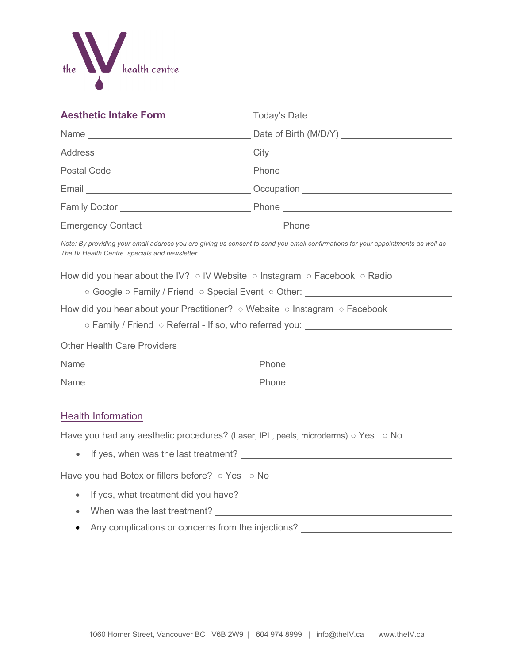

| <b>Aesthetic Intake Form</b>                                                                                                                                                                                                               |                                                                                                                                                                    |
|--------------------------------------------------------------------------------------------------------------------------------------------------------------------------------------------------------------------------------------------|--------------------------------------------------------------------------------------------------------------------------------------------------------------------|
|                                                                                                                                                                                                                                            |                                                                                                                                                                    |
|                                                                                                                                                                                                                                            |                                                                                                                                                                    |
|                                                                                                                                                                                                                                            |                                                                                                                                                                    |
|                                                                                                                                                                                                                                            |                                                                                                                                                                    |
|                                                                                                                                                                                                                                            |                                                                                                                                                                    |
|                                                                                                                                                                                                                                            |                                                                                                                                                                    |
| The IV Health Centre. specials and newsletter.                                                                                                                                                                                             | Note: By providing your email address you are giving us consent to send you email confirmations for your appointments as well as                                   |
| How did you hear about the IV? $\circ$ IV Website $\circ$ Instagram $\circ$ Facebook $\circ$ Radio<br>How did you hear about your Practitioner? $\circ$ Website $\circ$ Instagram $\circ$ Facebook                                         | ○ Google ○ Family / Friend ○ Special Event ○ Other: ___________________________<br>○ Family / Friend ○ Referral - If so, who referred you: _______________________ |
| <b>Other Health Care Providers</b>                                                                                                                                                                                                         |                                                                                                                                                                    |
|                                                                                                                                                                                                                                            |                                                                                                                                                                    |
|                                                                                                                                                                                                                                            |                                                                                                                                                                    |
| <b>Health Information</b>                                                                                                                                                                                                                  |                                                                                                                                                                    |
| Have you had any aesthetic procedures? (Laser, IPL, peels, microderms) $\circ$ Yes $\circ$ No                                                                                                                                              |                                                                                                                                                                    |
| If yes, when was the last treatment? Letter that the state of the state of the state of the state of the state of the state of the state of the state of the state of the state of the state of the state of the state of the<br>$\bullet$ |                                                                                                                                                                    |
| Have you had Botox or fillers before? o Yes o No                                                                                                                                                                                           |                                                                                                                                                                    |
| $\bullet$                                                                                                                                                                                                                                  |                                                                                                                                                                    |
| $\bullet$                                                                                                                                                                                                                                  |                                                                                                                                                                    |
| Any complications or concerns from the injections?                                                                                                                                                                                         |                                                                                                                                                                    |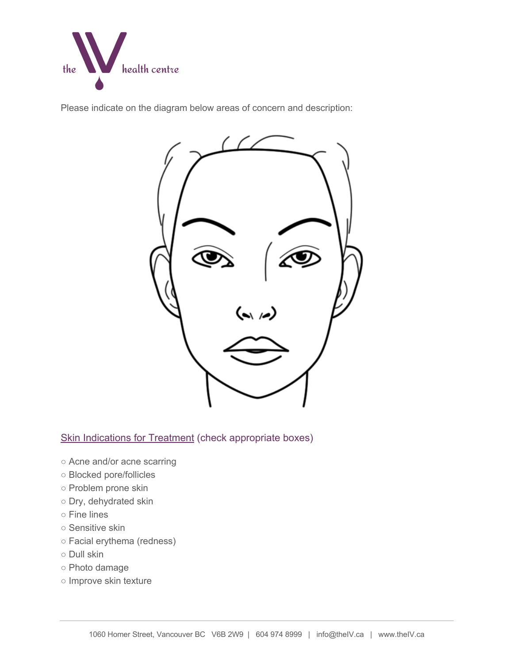

Please indicate on the diagram below areas of concern and description:



# Skin Indications for Treatment (check appropriate boxes)

- Acne and/or acne scarring
- Blocked pore/follicles
- Problem prone skin
- Dry, dehydrated skin
- Fine lines
- Sensitive skin
- Facial erythema (redness)
- Dull skin
- Photo damage
- Improve skin texture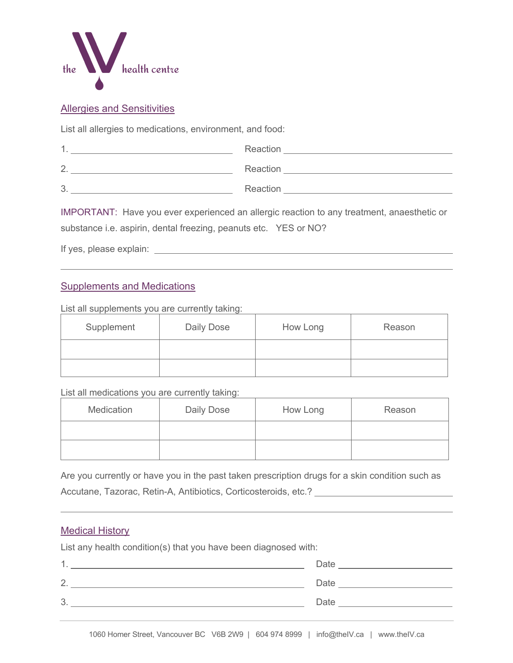

## Allergies and Sensitivities

List all allergies to medications, environment, and food:

| и                | Reaction |
|------------------|----------|
| $\overline{2}$ . | Reaction |
| 3.               | Reaction |

IMPORTANT: Have you ever experienced an allergic reaction to any treatment, anaesthetic or substance i.e. aspirin, dental freezing, peanuts etc. YES or NO?

If yes, please explain:

## Supplements and Medications

List all supplements you are currently taking:

| Supplement | Daily Dose | How Long | Reason |
|------------|------------|----------|--------|
|            |            |          |        |
|            |            |          |        |

List all medications you are currently taking:

| Medication | Daily Dose | How Long | Reason |
|------------|------------|----------|--------|
|            |            |          |        |
|            |            |          |        |

Are you currently or have you in the past taken prescription drugs for a skin condition such as Accutane, Tazorac, Retin-A, Antibiotics, Corticosteroids, etc.? [2006] Accutane, Tazorac, Retin-A, Antibiotics, Corticosteroids, etc.?

## Medical History

List any health condition(s) that you have been diagnosed with:

| 1<br>. . | Date |
|----------|------|
| 2.       | Date |
| 3.       | Date |
|          |      |